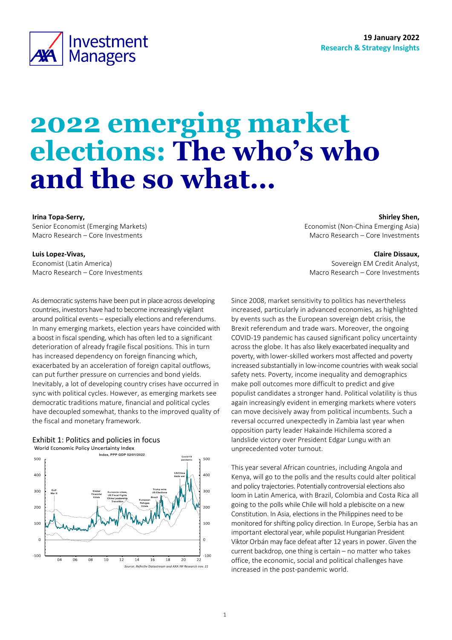

# **2022 emerging market elections: The who's who and the so what…**

#### **Irina Topa-Serry,**

Senior Economist (Emerging Markets) Macro Research – Core Investments

#### **Luis Lopez-Vivas,**

Economist (Latin America) Macro Research – Core Investments

As democratic systems have been put in place across developing countries, investors have had to become increasingly vigilant around political events – especially elections and referendums. In many emerging markets, election years have coincided with a boost in fiscal spending, which has often led to a significant deterioration of already fragile fiscal positions. This in turn has increased dependency on foreign financing which, exacerbated by an acceleration of foreign capital outflows, can put further pressure on currencies and bond yields. Inevitably, a lot of developing country crises have occurred in sync with political cycles. However, as emerging markets see democratic traditions mature, financial and political cycles have decoupled somewhat, thanks to the improved quality of the fiscal and monetary framework.





<span id="page-0-0"></span>**Shirley Shen,**

Economist (Non-China Emerging Asia) Macro Research – Core Investments

#### **Claire Dissaux,**

Sovereign EM Credit Analyst, Macro Research – Core Investments

Since 2008, market sensitivity to politics has nevertheless increased, particularly in advanced economies, as highlighted by events such as the European sovereign debt crisis, the Brexit referendum and trade wars. Moreover, the ongoing COVID-19 pandemic has caused significant policy uncertainty across the globe. It has also likely exacerbated inequality and poverty, with lower-skilled workers most affected and poverty increased substantially in low-income countries with weak social safety nets. Poverty, income inequality and demographics make poll outcomes more difficult to predict and give populist candidates a stronger hand. Political volatility is thus again increasingly evident in emerging markets where voters can move decisively away from political incumbents. Such a reversal occurred unexpectedly in Zambia last year when opposition party leader Hakainde Hichilema scored a landslide victory over President Edgar Lungu with an unprecedented voter turnout.

This year several African countries, including Angola and Kenya, will go to the polls and the results could alter political and policy trajectories. Potentially controversial elections also loom in Latin America, with Brazil, Colombia and Costa Rica all going to the polls while Chile will hold a plebiscite on a new Constitution. In Asia, elections in the Philippines need to be monitored for shifting policy direction. In Europe, Serbia has an important electoral year, while populist Hungarian President Viktor Orbán may face defeat after 12 years in power. Given the current backdrop, one thing is certain – no matter who takes office, the economic, social and political challenges have increased in the post-pandemic world.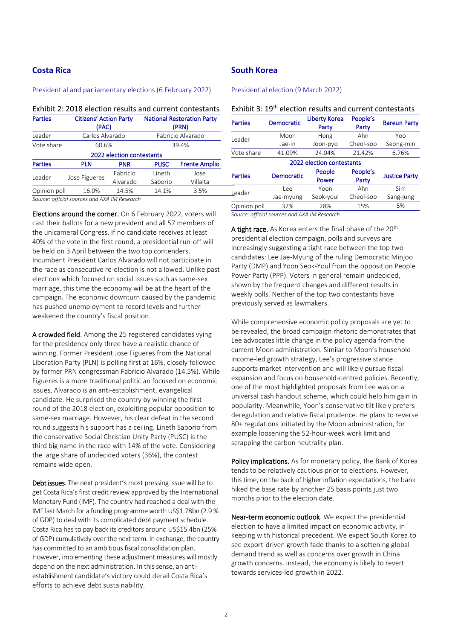# **Costa Rica**

#### Presidential and parliamentary elections (6 February 2022)

Exhibit 2: 2018 election results and current contestants

| <b>Parties</b>            | <b>Citizens' Action Party</b><br>(PAC) |            |             | <b>National Restoration Party</b><br>(PRN) |
|---------------------------|----------------------------------------|------------|-------------|--------------------------------------------|
| Leader                    | Carlos Alvarado                        |            |             | Fabricio Alvarado                          |
| Vote share                | 60.6%                                  |            |             | 39.4%                                      |
| 2022 election contestants |                                        |            |             |                                            |
| <b>Parties</b>            | <b>PLN</b>                             | <b>PNR</b> | <b>PUSC</b> | <b>Frente Amplio</b>                       |
| Leader                    |                                        | Fabricio   | Lineth      | Jose                                       |
|                           | Jose Figueres                          | Alvarado   | Saborio     | Villalta                                   |
| Opinion poll              | 16.0%                                  | 14.5%      | 14.1%       | 3.5%                                       |
|                           |                                        |            |             |                                            |

*Source: official sources and AXA IM Research*

Elections around the corner. On 6 February 2022, voters will cast their ballots for a new president and all 57 members of the unicameral Congress. If no candidate receives at least 40% of the vote in the first round, a presidential run-off will be held on 3 April between the two top contenders. Incumbent President Carlos Alvarado will not participate in the race as consecutive re-election is not allowed. Unlike past elections which focused on social issues such as same-sex marriage, this time the economy will be at the heart of the campaign. The economic downturn caused by the pandemic has pushed unemployment to record levels and further weakened the country's fiscal position.

A crowded field. Among the 25 registered candidates vying for the presidency only three have a realistic chance of winning. Former President Jose Figueres from the National Liberation Party (PLN) is polling first at 16%, closely followed by former PRN congressman Fabricio Alvarado (14.5%). While Figueres is a more traditional politician focused on economic issues, Alvarado is an anti-establishment, evangelical candidate. He surprised the country by winning the first round of the 2018 election, exploiting popular opposition to same-sex marriage. However, his clear defeat in the second round suggests his support has a ceiling. Lineth Saborio from the conservative Social Christian Unity Party (PUSC) is the third big name in the race with 14% of the vote. Considering the large share of undecided voters (36%), the contest remains wide open.

Debt issues. The next president's most pressing issue will be to get Costa Rica's first credit review approved by the International Monetary Fund (IMF). The country had reached a deal with the IMF last March for a funding programme worth US\$1.78bn (2.9 % of GDP) to deal with its complicated debt payment schedule. Costa Rica has to pay back its creditors around US\$15.4bn (25% of GDP) cumulatively over the next term. In exchange, the country has committed to an ambitious fiscal consolidation plan. However, implementing these adjustment measures will mostly depend on the next administration. In this sense, an antiestablishment candidate's victory could derail Costa Rica's efforts to achieve debt sustainability.

# **South Korea**

Presidential election (9 March 2022)

| Exhibit 3: 19 <sup>th</sup> election results and current contestants |  |
|----------------------------------------------------------------------|--|
|----------------------------------------------------------------------|--|

| <b>Parties</b>            | <b>Democratic</b> | <b>Liberty Korea</b><br>Party | People's<br>Party | <b>Bareun Party</b>  |  |
|---------------------------|-------------------|-------------------------------|-------------------|----------------------|--|
| Leader                    | Moon              | Hong                          | Ahn               | Yoo                  |  |
|                           | Jae-in            | Joon-pyo                      | Cheol-soo         | Seong-min            |  |
| Vote share                | 41.09%            | 24.04%                        | 21.42%            | 6.76%                |  |
| 2022 election contestants |                   |                               |                   |                      |  |
| <b>Parties</b>            | <b>Democratic</b> | People<br>Power               | People's<br>Party | <b>Justice Party</b> |  |
| Leader                    | Lee               | Yoon                          | Ahn               | Sim                  |  |
|                           | Jae-myung         | Seok-youl                     | Cheol-soo         | Sang-jung            |  |
| Opinion poll              | 37%               | 28%                           | 15%               | 5%                   |  |
|                           |                   |                               |                   |                      |  |

*Source: official sources and AXA IM Research*

A tight race. As Korea enters the final phase of the 20<sup>th</sup> presidential election campaign, polls and surveys are increasingly suggesting a tight race between the top two candidates: Lee Jae-Myung of the ruling Democratic Minjoo Party (DMP) and Yoon Seok-Youl from the opposition People Power Party (PPP). Voters in general remain undecided, shown by the frequent changes and different results in weekly polls. Neither of the top two contestants have previously served as lawmakers.

While comprehensive economic policy proposals are yet to be revealed, the broad campaign rhetoric demonstrates that Lee advocates little change in the policy agenda from the current Moon administration. Similar to Moon's householdincome-led growth strategy, Lee's progressive stance supports market intervention and will likely pursue fiscal expansion and focus on household-centred policies. Recently, one of the most highlighted proposals from Lee was on a universal cash handout scheme, which could help him gain in popularity. Meanwhile, Yoon's conservative tilt likely prefers deregulation and relative fiscal prudence. He plans to reverse 80+ regulations initiated by the Moon administration, for example loosening the 52-hour-week work limit and scrapping the carbon neutrality plan.

Policy implications. As for monetary policy, the Bank of Korea tends to be relatively cautious prior to elections. However, this time, on the back of higher inflation expectations, the bank hiked the base rate by another 25 basis points just two months prior to the election date.

Near-term economic outlook. We expect the presidential election to have a limited impact on economic activity, in keeping with historical precedent. We expect South Korea to see export-driven growth fade thanks to a softening global demand trend as well as concerns over growth in China growth concerns. Instead, the economy is likely to revert towards services-led growth in 2022.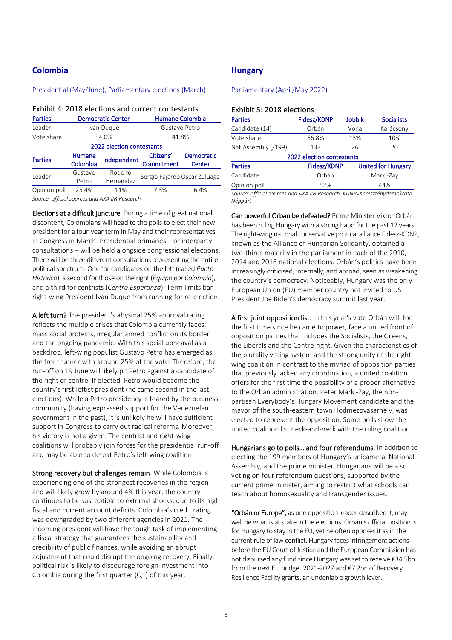# **Colombia**

#### Presidential (May/June), Parliamentary elections (March)

|                | LATINIL 4. 2010 CICLIONS AND CUITENT CONCESTANTS |                      |                                                        |      |  |  |
|----------------|--------------------------------------------------|----------------------|--------------------------------------------------------|------|--|--|
| <b>Parties</b> | <b>Democratic Center</b>                         |                      | Humane Colombia                                        |      |  |  |
| Leader         |                                                  | Ivan Duque           | Gustavo Petro                                          |      |  |  |
| Vote share     |                                                  | 54.0%                | 41.8%                                                  |      |  |  |
|                | 2022 election contestants                        |                      |                                                        |      |  |  |
| <b>Parties</b> | Humane<br>Colombia                               | Independent          | <b>Democratic</b><br>Citizens'<br>Commitment<br>Center |      |  |  |
| Leader         | Gustavo<br>Petro                                 | Rodolfo<br>Hernandez | Sergio Fajardo Oscar Zuluaga                           |      |  |  |
| Opinion poll   | 25.4%                                            | 11%                  | 7.3%                                                   | 6.4% |  |  |

Exhibit 4: 2018 elections and current contestants

*Source: official sources and AXA IM Research*

Elections at a difficult juncture. During a time of great national discontent, Colombians will head to the polls to elect their new president for a four-year term in May and their representatives in Congress in March. Presidential primaries – or interparty consultations – will be held alongside congressional elections. There will be three different consultations representing the entire political spectrum. One for candidates on the left (called *Pacto Historico*), a second for those on the right (*Equipo por Colombia*), and a third for centrists (*Centro Esperanza*). Term limits bar right-wing President Iván Duque from running for re-election.

A left turn? The president's abysmal 25% approval rating reflects the multiple crises that Colombia currently faces: mass social protests, irregular armed conflict on its border and the ongoing pandemic. With this social upheaval as a backdrop, left-wing populist Gustavo Petro has emerged as the frontrunner with around 25% of the vote. Therefore, the run-off on 19 June will likely pit Petro against a candidate of the right or centre. If elected, Petro would become the country's first leftist president (he came second in the last elections). While a Petro presidency is feared by the business community (having expressed support for the Venezuelan government in the past), it is unlikely he will have sufficient support in Congress to carry out radical reforms. Moreover, his victory is not a given. The centrist and right-wing coalitions will probably join forces for the presidential run-off and may be able to defeat Petro's left-wing coalition.

Strong recovery but challenges remain. While Colombia is experiencing one of the strongest recoveries in the region and will likely grow by around 4% this year, the country continues to be susceptible to external shocks, due to its high fiscal and current account deficits. Colombia's credit rating was downgraded by two different agencies in 2021. The incoming president will have the tough task of implementing a fiscal strategy that guarantees the sustainability and credibility of public finances, while avoiding an abrupt adjustment that could disrupt the ongoing recovery. Finally, political risk is likely to discourage foreign investment into Colombia during the first quarter (Q1) of this year.

# **Hungary**

#### Parliamentary (April/May 2022)

# Exhibit 5: 2018 elections

| <b>Parties</b>            | <b>Fidesz/KDNP</b> | <b>Jobbik</b>             | <b>Socialists</b> |  |  |
|---------------------------|--------------------|---------------------------|-------------------|--|--|
| Candidate (14)            | Orbán              | Vona                      | Karácsony         |  |  |
| Vote share                | 66.8%              | 13%                       | 10%               |  |  |
| Nat.Assembly (/199)       | 133                | 26                        | 20                |  |  |
| 2022 election contestants |                    |                           |                   |  |  |
| <b>Parties</b>            | Fidesz/KDNP        | <b>United for Hungary</b> |                   |  |  |
| Candidate                 | Orbán              | Marki-Zay                 |                   |  |  |
| Opinion poll              | 52%                | 44%                       |                   |  |  |

*Source: official sources and AXA IM Research: KDNP=Kereszténydemokrata Néppárt*

Can powerful Orbán be defeated? Prime Minister Viktor Orbán has been ruling Hungary with a strong hand for the past 12 years. The right-wing national conservative political alliance Fidesz-KDNP, known as the Alliance of Hungarian Solidarity, obtained a two-thirds majority in the parliament in each of the 2010, 2014 and 2018 national elections. Orbán's politics have been increasingly criticised, internally, and abroad, seen as weakening the country's democracy. Noticeably, Hungary was the only European Union (EU) member country not invited to US President Joe Biden's democracy summit last year.

A first joint opposition list. In this year's vote Orbán will, for the first time since he came to power, face a united front of opposition parties that includes the Socialists, the Greens, the Liberals and the Centre-right. Given the characteristics of the plurality voting system and the strong unity of the rightwing coalition in contrast to the myriad of opposition parties that previously lacked any coordination, a united coalition offers for the first time the possibility of a proper alternative to the Orbán administration. Peter Marki-Zay, the nonpartisan Everybody's Hungary Movement candidate and the mayor of the south-eastern town Hodmezovasarhely, was elected to represent the opposition. Some polls show the united coalition list neck-and-neck with the ruling coalition.

Hungarians go to polls… and four referendums. In addition to electing the 199 members of Hungary's unicameral National Assembly, and the prime minister, Hungarians will be also voting on four referendum questions, supported by the current prime minister, aiming to restrict what schools can teach about homosexuality and transgender issues.

"Orbán or Europe", as one opposition leader described it, may well be what is at stake in the elections. Orbán's official position is for Hungary to stay in the EU, yet he often opposes it as in the current rule of law conflict. Hungary faces infringement actions before the EU Court of Justice and the European Commission has not disbursed any fund since Hungary was set to receive €34.5bn from the next EU budget 2021-2027 and €7.2bn of Recovery Resilience Facility grants, an undeniable growth lever.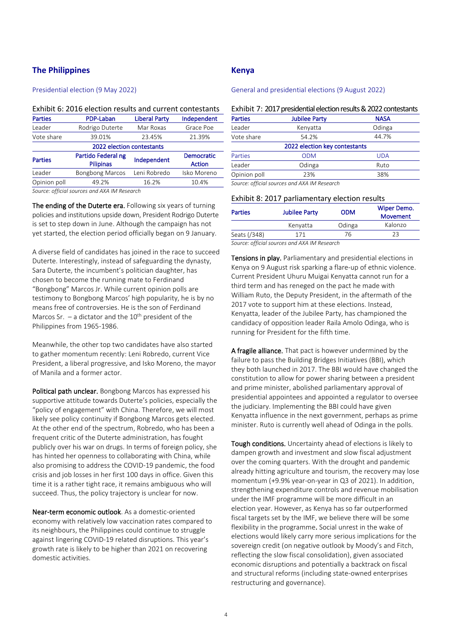# **The Philippines**

## Presidential election (9 May 2022)

#### Exhibit 6: 2016 election results and current contestants

| <b>Parties</b>                            | PDP-Laban                              | <b>Liberal Party</b> | Independent                        |  |  |
|-------------------------------------------|----------------------------------------|----------------------|------------------------------------|--|--|
| Leader                                    | Rodrigo Duterte                        | Mar Roxas            | Grace Poe                          |  |  |
| Vote share                                | 39.01%                                 | 23.45%               | 21.39%                             |  |  |
|                                           | 2022 election contestants              |                      |                                    |  |  |
| <b>Parties</b>                            | Partido Federal ng<br><b>Pilipinas</b> | Independent          | <b>Democratic</b><br><b>Action</b> |  |  |
| Leader                                    | <b>Bongbong Marcos</b>                 | Leni Robredo         | Isko Moreno                        |  |  |
| Opinion poll                              | 49.2%                                  | 16.2%                | 10.4%                              |  |  |
| $\sim$ $\sim$ $\sim$ $\sim$ $\sim$ $\sim$ | 1.43141887                             |                      |                                    |  |  |

*Source: official sources and AXA IM Research* 

The ending of the Duterte era. Following six years of turning policies and institutions upside down, President Rodrigo Duterte is set to step down in June. Although the campaign has not yet started, the election period officially began on 9 January.

A diverse field of candidates has joined in the race to succeed Duterte. Interestingly, instead of safeguarding the dynasty, Sara Duterte, the incumbent's politician daughter, has chosen to become the running mate to Ferdinand "Bongbong" Marcos Jr. While current opinion polls are testimony to Bongbong Marcos' high popularity, he is by no means free of controversies. He is the son of Ferdinand Marcos Sr.  $-$  a dictator and the 10<sup>th</sup> president of the Philippines from 1965-1986.

Meanwhile, the other top two candidates have also started to gather momentum recently: Leni Robredo, current Vice President, a liberal progressive, and Isko Moreno, the mayor of Manila and a former actor.

Political path unclear. Bongbong Marcos has expressed his supportive attitude towards Duterte's policies, especially the "policy of engagement" with China. Therefore, we will most likely see policy continuity if Bongbong Marcos gets elected. At the other end of the spectrum, Robredo, who has been a frequent critic of the Duterte administration, has fought publicly over his war on drugs. In terms of foreign policy, she has hinted her openness to collaborating with China, while also promising to address the COVID-19 pandemic, the food crisis and job losses in her first 100 days in office. Given this time it is a rather tight race, it remains ambiguous who will succeed. Thus, the policy trajectory is unclear for now.

Near-term economic outlook. As a domestic-oriented economy with relatively low vaccination rates compared to its neighbours, the Philippines could continue to struggle against lingering COVID-19 related disruptions. This year's growth rate is likely to be higher than 2021 on recovering domestic activities.

# **Kenya**

General and presidential elections (9 August 2022)

|--|

| <b>Parties</b>                               | <b>Jubilee Party</b> | <b>NASA</b> |  |  |
|----------------------------------------------|----------------------|-------------|--|--|
| Leader                                       | Kenyatta             | Odinga      |  |  |
| Vote share                                   | 54.2%                | 44.7%       |  |  |
| 2022 election key contestants                |                      |             |  |  |
| Parties                                      | <b>ODM</b>           | <b>UDA</b>  |  |  |
| Leader                                       | Odinga               | Ruto        |  |  |
| Opinion poll                                 | 23%                  | 38%         |  |  |
| Source: official sources and AXA IM Research |                      |             |  |  |

Exhibit 8: 2017 parliamentary election results

| <b>Parties</b> | <b>Jubilee Party</b>                                                                                                                                                                                                            | <b>ODM</b> | Wiper Demo.<br>Movement |
|----------------|---------------------------------------------------------------------------------------------------------------------------------------------------------------------------------------------------------------------------------|------------|-------------------------|
|                | Kenyatta                                                                                                                                                                                                                        | Odinga     | Kalonzo                 |
| Seats (/348)   | 171                                                                                                                                                                                                                             | 76         |                         |
| $ -$           | $\sim$ . The set of the set of the set of the set of the set of the set of the set of the set of the set of the set of the set of the set of the set of the set of the set of the set of the set of the set of the set of the s |            |                         |

*Source: official sources and AXA IM Research*

Tensions in play. Parliamentary and presidential elections in Kenya on 9 August risk sparking a flare-up of ethnic violence. Current President Uhuru Muigai Kenyatta cannot run for a third term and has reneged on the pact he made with William Ruto, the Deputy President, in the aftermath of the 2017 vote to support him at these elections. Instead, Kenyatta, leader of the Jubilee Party, has championed the candidacy of opposition leader Raila Amolo Odinga, who is running for President for the fifth time.

A fragile alliance. That pact is however undermined by the failure to pass the Building Bridges Initiatives (BBI), which they both launched in 2017. The BBI would have changed the constitution to allow for power sharing between a president and prime minister, abolished parliamentary approval of presidential appointees and appointed a regulator to oversee the judiciary. Implementing the BBI could have given Kenyatta influence in the next government, perhaps as prime minister. Ruto is currently well ahead of Odinga in the polls.

Tough conditions. Uncertainty ahead of elections is likely to dampen growth and investment and slow fiscal adjustment over the coming quarters. With the drought and pandemic already hitting agriculture and tourism, the recovery may lose momentum (+9.9% year-on-year in Q3 of 2021). In addition, strengthening expenditure controls and revenue mobilisation under the IMF programme will be more difficult in an election year. However, as Kenya has so far outperformed fiscal targets set by the IMF, we believe there will be some flexibility in the programme. Social unrest in the wake of elections would likely carry more serious implications for the sovereign credit (on negative outlook by Moody's and Fitch, reflecting the slow fiscal consolidation), given associated economic disruptions and potentially a backtrack on fiscal and structural reforms (including state-owned enterprises restructuring and governance).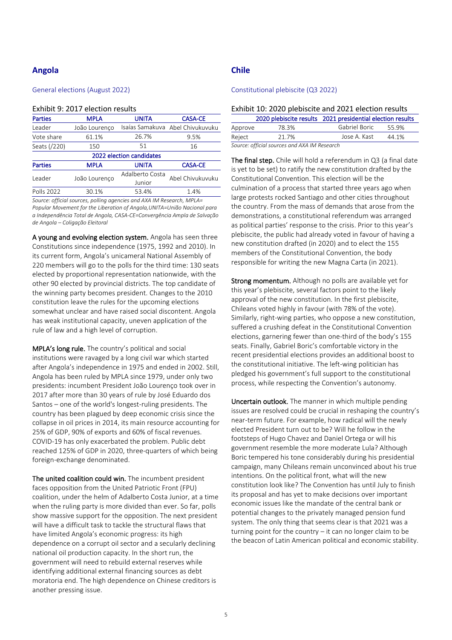# **Angola**

#### General elections (August 2022)

#### Exhibit 9: 2017 election results

| <b>Parties</b> | <b>MPLA</b>   | <b>UNITA</b>              | <b>CASA-CE</b>                   |
|----------------|---------------|---------------------------|----------------------------------|
| Leader         | João Lourenço |                           | Isaías Samakuva Abel Chivukuvuku |
| Vote share     | 61.1%         | 26.7%                     | 9.5%                             |
| Seats (/220)   | 150           | 51                        | 16                               |
|                |               | 2022 election candidates  |                                  |
| <b>Parties</b> | <b>MPLA</b>   | <b>UNITA</b>              | <b>CASA-CE</b>                   |
| Leader         | João Lourenço | Adalberto Costa<br>Junior | Abel Chivukuvuku                 |
| Polls 2022     | 30.1%         | 53.4%                     | 1.4%                             |

*Source: official sources, polling agencies and AXA IM Research, MPLA= Popular Movement for the Liberation of Angola,UNITA=União Nacional para a Independência Total de Angola, CASA-CE=Convergência Ampla de Salvação de Angola – Coligação Eleitoral*

A young and evolving election system. Angola has seen three Constitutions since independence (1975, 1992 and 2010). In its current form, Angola's unicameral National Assembly of 220 members will go to the polls for the third time: 130 seats elected by proportional representation nationwide, with the other 90 elected by provincial districts. The top candidate of the winning party becomes president. Changes to the 2010 constitution leave the rules for the upcoming elections somewhat unclear and have raised social discontent. Angola has weak institutional capacity, uneven application of the rule of law and a high level of corruption.

MPLA's long rule. The country's political and social institutions were ravaged by a long civil war which started after Angola's independence in 1975 and ended in 2002. Still, Angola has been ruled by MPLA since 1979, under only two presidents: incumbent President João Lourenço took over in 2017 after more than 30 years of rule by José Eduardo dos Santos – one of the world's longest-ruling presidents. The country has been plagued by deep economic crisis since the collapse in oil prices in 2014, its main resource accounting for 25% of GDP, 90% of exports and 60% of fiscal revenues. COVID-19 has only exacerbated the problem. Public debt reached 125% of GDP in 2020, three-quarters of which being foreign-exchange denominated.

The united coalition could win. The incumbent president faces opposition from the United Patriotic Front (FPU) coalition, under the helm of Adalberto Costa Junior, at a time when the ruling party is more divided than ever. So far, polls show massive support for the opposition. The next president will have a difficult task to tackle the structural flaws that have limited Angola's economic progress: its high dependence on a corrupt oil sector and a secularly declining national oil production capacity. In the short run, the government will need to rebuild external reserves while identifying additional external financing sources as debt moratoria end. The high dependence on Chinese creditors is another pressing issue.

# **Chile**

#### Constitutional plebiscite (Q3 2022)

|         | 2020 plebiscite results 2021 presidential election results |               |       |
|---------|------------------------------------------------------------|---------------|-------|
| Approve | 78.3%                                                      | Gabriel Boric | 55.9% |
| Reject  | 21.7%                                                      | Jose A. Kast  | 44.1% |
|         |                                                            |               |       |

*Source: official sources and AXA IM Research*

The final step. Chile will hold a referendum in Q3 (a final date is yet to be set) to ratify the new constitution drafted by the Constitutional Convention. This election will be the culmination of a process that started three years ago when large protests rocked Santiago and other cities throughout the country. From the mass of demands that arose from the demonstrations, a constitutional referendum was arranged as political parties' response to the crisis. Prior to this year's plebiscite, the public had already voted in favour of having a new constitution drafted (in 2020) and to elect the 155 members of the Constitutional Convention, the body responsible for writing the new Magna Carta (in 2021).

Strong momentum. Although no polls are available yet for this year's plebiscite, several factors point to the likely approval of the new constitution. In the first plebiscite, Chileans voted highly in favour (with 78% of the vote). Similarly, right-wing parties, who oppose a new constitution, suffered a crushing defeat in the Constitutional Convention elections, garnering fewer than one-third of the body's 155 seats. Finally, Gabriel Boric's comfortable victory in the recent presidential elections provides an additional boost to the constitutional initiative. The left-wing politician has pledged his government's full support to the constitutional process, while respecting the Convention's autonomy.

Uncertain outlook. The manner in which multiple pending issues are resolved could be crucial in reshaping the country's near-term future. For example, how radical will the newly elected President turn out to be? Will he follow in the footsteps of Hugo Chavez and Daniel Ortega or will his government resemble the more moderate Lula? Although Boric tempered his tone considerably during his presidential campaign, many Chileans remain unconvinced about his true intentions. On the political front, what will the new constitution look like? The Convention has until July to finish its proposal and has yet to make decisions over important economic issues like the mandate of the central bank or potential changes to the privately managed pension fund system. The only thing that seems clear is that 2021 was a turning point for the country – it can no longer claim to be the beacon of Latin American political and economic stability.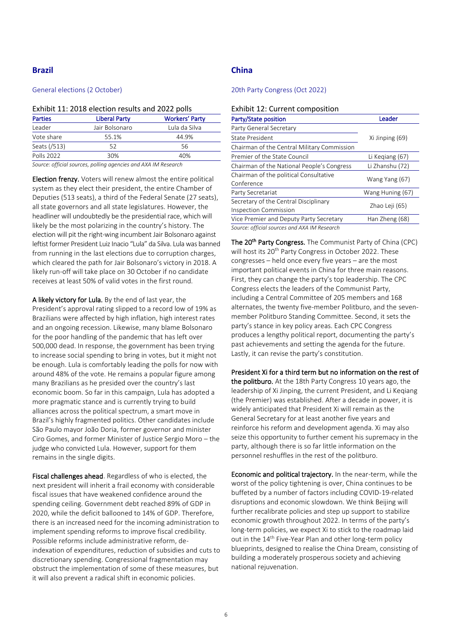# **Brazil**

#### General elections (2 October)

#### Exhibit 11: 2018 election results and 2022 polls

| <b>Parties</b> | <b>Liberal Party</b> | <b>Workers' Party</b> |
|----------------|----------------------|-----------------------|
| Leader         | Jair Bolsonaro       | Lula da Silva         |
| Vote share     | 55.1%                | 44.9%                 |
| Seats (/513)   | 52                   | 56                    |
| Polls 2022     | 30%                  | 40%                   |
|                |                      |                       |

*Source: official sources, polling agencies and AXA IM Research*

Election frenzy. Voters will renew almost the entire political system as they elect their president, the entire Chamber of Deputies (513 seats), a third of the Federal Senate (27 seats), all state governors and all state legislatures. However, the headliner will undoubtedly be the presidential race, which will likely be the most polarizing in the country's history. The election will pit the right-wing incumbent Jair Bolsonaro against leftist former President Luiz Inacio "Lula" da Silva. Lula was banned from running in the last elections due to corruption charges, which cleared the path for Jair Bolsonaro's victory in 2018. A likely run-off will take place on 30 October if no candidate receives at least 50% of valid votes in the first round.

A likely victory for Lula. By the end of last year, the President's approval rating slipped to a record low of 19% as Brazilians were affected by high inflation, high interest rates and an ongoing recession. Likewise, many blame Bolsonaro for the poor handling of the pandemic that has left over 500,000 dead. In response, the government has been trying to increase social spending to bring in votes, but it might not be enough. Lula is comfortably leading the polls for now with around 48% of the vote. He remains a popular figure among many Brazilians as he presided over the country's last economic boom. So far in this campaign, Lula has adopted a more pragmatic stance and is currently trying to build alliances across the political spectrum, a smart move in Brazil's highly fragmented politics. Other candidates include São Paulo mayor João Doria, former governor and minister Ciro Gomes, and former Minister of Justice Sergio Moro – the judge who convicted Lula. However, support for them remains in the single digits.

Fiscal challenges ahead. Regardless of who is elected, the next president will inherit a frail economy with considerable fiscal issues that have weakened confidence around the spending ceiling. Government debt reached 89% of GDP in 2020, while the deficit ballooned to 14% of GDP. Therefore, there is an increased need for the incoming administration to implement spending reforms to improve fiscal credibility. Possible reforms include administrative reform, deindexation of expenditures, reduction of subsidies and cuts to discretionary spending. Congressional fragmentation may obstruct the implementation of some of these measures, but it will also prevent a radical shift in economic policies.

# **China**

#### 20th Party Congress (Oct 2022)

#### Exhibit 12: Current composition

| Party/State position                                                  | Leader           |
|-----------------------------------------------------------------------|------------------|
| Party General Secretary                                               |                  |
| <b>State President</b>                                                | Xi Jinping (69)  |
| Chairman of the Central Military Commission                           |                  |
| Premier of the State Council                                          | Li Kegiang (67)  |
| Chairman of the National People's Congress                            | Li Zhanshu (72)  |
| Chairman of the political Consultative<br>Conference                  | Wang Yang (67)   |
| Party Secretariat                                                     | Wang Huning (67) |
| Secretary of the Central Disciplinary<br><b>Inspection Commission</b> | Zhao Leji (65)   |
| Vice Premier and Deputy Party Secretary                               | Han Zheng (68)   |
| Source: official sources and AVA IM Pesserch                          |                  |

*Source: official sources and AXA IM Research*

The 20<sup>th</sup> Party Congress. The Communist Party of China (CPC) will host its 20<sup>th</sup> Party Congress in October 2022. These congresses – held once every five years – are the most important political events in China for three main reasons. First, they can change the party's top leadership. The CPC Congress elects the leaders of the Communist Party, including a Central Committee of 205 members and 168 alternates, the twenty five-member Politburo, and the sevenmember Politburo Standing Committee. Second, it sets the party's stance in key policy areas. Each CPC Congress produces a lengthy political report, documenting the party's past achievements and setting the agenda for the future. Lastly, it can revise the party's constitution.

# President Xi for a third term but no information on the rest of

the politburo. At the 18th Party Congress 10 years ago, the leadership of Xi Jinping, the current President, and Li Keqiang (the Premier) was established. After a decade in power, it is widely anticipated that President Xi will remain as the General Secretary for at least another five years and reinforce his reform and development agenda. Xi may also seize this opportunity to further cement his supremacy in the party, although there is so far little information on the personnel reshuffles in the rest of the politburo.

Economic and political trajectory. In the near-term, while the worst of the policy tightening is over, China continues to be buffeted by a number of factors including COVID-19-related disruptions and economic slowdown. We think Beijing will further recalibrate policies and step up support to stabilize economic growth throughout 2022. In terms of the party's long-term policies, we expect Xi to stick to the roadmap laid out in the 14<sup>th</sup> Five-Year Plan and other long-term policy blueprints, designed to realise the China Dream, consisting of building a moderately prosperous society and achieving national rejuvenation.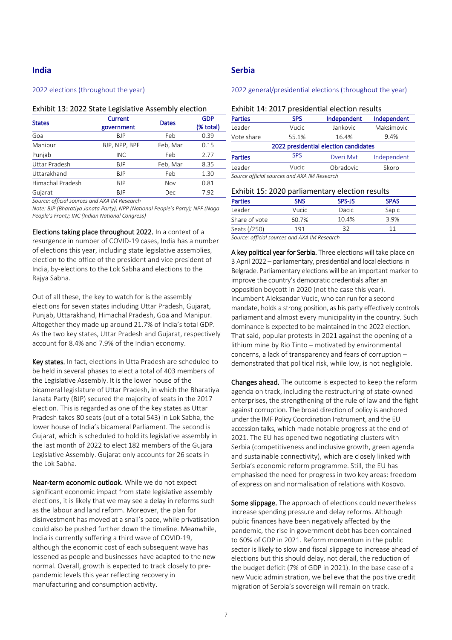# **India**

#### 2022 elections (throughout the year)

#### Exhibit 13: 2022 State Legislative Assembly election

| <b>States</b>        | <b>Current</b><br>government | <b>Dates</b> | <b>GDP</b><br>(% total) |
|----------------------|------------------------------|--------------|-------------------------|
| Goa                  | <b>BJP</b>                   | Feb          | 0.39                    |
| Manipur              | BJP, NPP, BPF                | Feb, Mar     | 0.15                    |
| Punjab               | <b>INC</b>                   | Feb          | 2.77                    |
| <b>Uttar Pradesh</b> | <b>BJP</b>                   | Feb, Mar     | 8.35                    |
| Uttarakhand          | <b>BJP</b>                   | Feb          | 1.30                    |
| Himachal Pradesh     | <b>BJP</b>                   | Nov          | 0.81                    |
| Gujarat              | <b>BJP</b>                   | Dec          | 7.92                    |

*Source: official sources and AXA IM Research*

*Note: BJP (Bharatiya Janata Party); NPP (National People's Party); NPF (Naga People's Front); INC (Indian National Congress)*

Elections taking place throughout 2022. In a context of a resurgence in number of COVID-19 cases, India has a number of elections this year, including state legislative assemblies, election to the office of the president and vice president of India, by-elections to the Lok Sabha and elections to the Rajya Sabha.

Out of all these, the key to watch for is the assembly elections for seven states including Uttar Pradesh, Gujarat, Punjab, Uttarakhand, Himachal Pradesh, Goa and Manipur. Altogether they made up around 21.7% of India's total GDP. As the two key states, Uttar Pradesh and Gujarat, respectively account for 8.4% and 7.9% of the Indian economy.

Key states. In fact, elections in Utta Pradesh are scheduled to be held in several phases to elect a total of 403 members of the Legislative Assembly. It is the lower house of the bicameral legislature of Uttar Pradesh, in which the Bharatiya Janata Party (BJP) secured the majority of seats in the 2017 election. This is regarded as one of the key states as Uttar Pradesh takes 80 seats (out of a total 543) in Lok Sabha, the lower house of India's bicameral Parliament. The second is Gujarat, which is scheduled to hold its legislative assembly in the last month of 2022 to elect 182 members of the Gujara Legislative Assembly. Gujarat only accounts for 26 seats in the Lok Sabha.

Near-term economic outlook. While we do not expect significant economic impact from state legislative assembly elections, it is likely that we may see a delay in reforms such as the labour and land reform. Moreover, the plan for disinvestment has moved at a snail's pace, while privatisation could also be pushed further down the timeline. Meanwhile, India is currently suffering a third wave of COVID-19, although the economic cost of each subsequent wave has lessened as people and businesses have adapted to the new normal. Overall, growth is expected to track closely to prepandemic levels this year reflecting recovery in manufacturing and consumption activity.

# **Serbia**

## 2022 general/presidential elections (throughout the year)

#### Exhibit 14: 2017 presidential election results

| <b>Parties</b>                              | <b>SPS</b> | Independent | Independent |  |
|---------------------------------------------|------------|-------------|-------------|--|
| Leader                                      | Vucic      | Jankovic    | Maksimovic  |  |
| Vote share                                  | 55.1%      | 16.4%       | 9.4%        |  |
| 2022 presidential election candidates       |            |             |             |  |
| <b>Parties</b>                              | <b>SPS</b> | Dveri Myt   | Independent |  |
| Leader                                      | Vucic      | Obradovic   | Skoro       |  |
| Source official sources and AXA IM Research |            |             |             |  |

| Exhibit 15: 2020 parliamentary election results |            |        |             |  |  |
|-------------------------------------------------|------------|--------|-------------|--|--|
| <b>Parties</b>                                  | <b>SNS</b> | SPS-JS | <b>SPAS</b> |  |  |
| Leader                                          | Vucic      | Dacic  | Sapic       |  |  |
| Share of vote                                   | 60.7%      | 10.4%  | 3.9%        |  |  |
| Seats (/250)                                    | 191        | 32     | 11          |  |  |

*Source: official sources and AXA IM Research*

A key political year for Serbia. Three elections will take place on 3 April 2022 – parliamentary, presidential and local elections in Belgrade. Parliamentary elections will be an important marker to improve the country's democratic credentials after an opposition boycott in 2020 (not the case this year). Incumbent Aleksandar Vucic, who can run for a second mandate, holds a strong position, as his party effectively controls parliament and almost every municipality in the country. Such dominance is expected to be maintained in the 2022 election. That said, popular protests in 2021 against the opening of a lithium mine by Rio Tinto – motivated by environmental concerns, a lack of transparency and fears of corruption – demonstrated that political risk, while low, is not negligible.

Changes ahead. The outcome is expected to keep the reform agenda on track, including the restructuring of state-owned enterprises, the strengthening of the rule of law and the fight against corruption. The broad direction of policy is anchored under the IMF Policy Coordination Instrument, and the EU accession talks, which made notable progress at the end of 2021. The EU has opened two negotiating clusters with Serbia (competitiveness and inclusive growth, green agenda and sustainable connectivity), which are closely linked with Serbia's economic reform programme. Still, the EU has emphasised the need for progress in two key areas: freedom of expression and normalisation of relations with Kosovo.

Some slippage. The approach of elections could nevertheless increase spending pressure and delay reforms. Although public finances have been negatively affected by the pandemic, the rise in government debt has been contained to 60% of GDP in 2021. Reform momentum in the public sector is likely to slow and fiscal slippage to increase ahead of elections but this should delay, not derail, the reduction of the budget deficit (7% of GDP in 2021). In the base case of a new Vucic administration, we believe that the positive credit migration of Serbia's sovereign will remain on track.